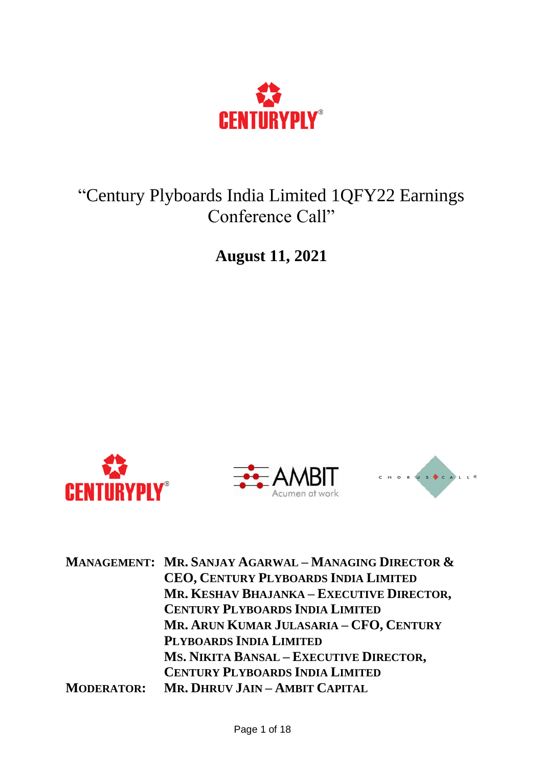

## "Century Plyboards India Limited 1QFY22 Earnings Conference Call"

**August 11, 2021**







| <b>MANAGEMENT: MR. SANJAY AGARWAL - MANAGING DIRECTOR &amp;</b> |  |
|-----------------------------------------------------------------|--|
| <b>CEO, CENTURY PLYBOARDS INDIA LIMITED</b>                     |  |
| MR. KESHAV BHAJANKA - EXECUTIVE DIRECTOR,                       |  |
| <b>CENTURY PLYBOARDS INDIA LIMITED</b>                          |  |
| MR. ARUN KUMAR JULASARIA – CFO, CENTURY                         |  |
| PLYBOARDS INDIA LIMITED                                         |  |
| MS. NIKITA BANSAL - EXECUTIVE DIRECTOR,                         |  |
| <b>CENTURY PLYBOARDS INDIA LIMITED</b>                          |  |
| MR. DHRUV JAIN - AMBIT CAPITAL<br><b>MODERATOR:</b>             |  |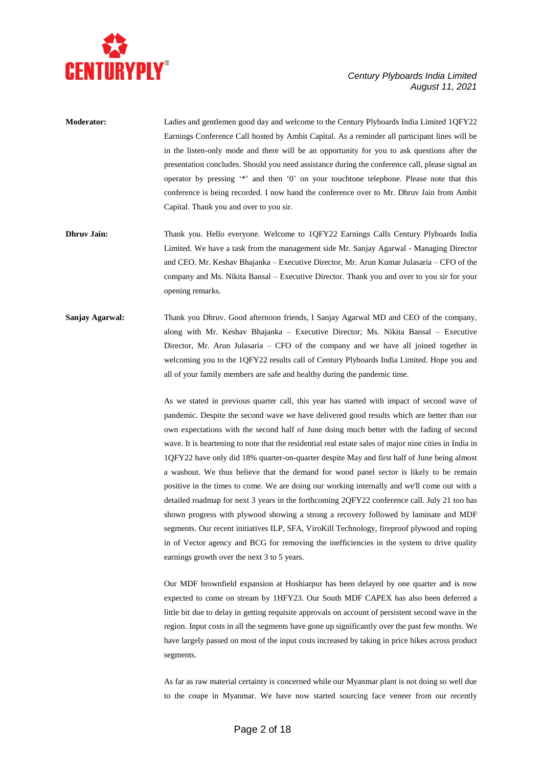

| <b>Moderator:</b>       | Ladies and gentlemen good day and welcome to the Century Plyboards India Limited 1QFY22         |
|-------------------------|-------------------------------------------------------------------------------------------------|
|                         | Earnings Conference Call hosted by Ambit Capital. As a reminder all participant lines will be   |
|                         | in the listen-only mode and there will be an opportunity for you to ask questions after the     |
|                         | presentation concludes. Should you need assistance during the conference call, please signal an |
|                         | operator by pressing "*" and then '0' on your touchtone telephone. Please note that this        |
|                         | conference is being recorded. I now hand the conference over to Mr. Dhruv Jain from Ambit       |
|                         | Capital. Thank you and over to you sir.                                                         |
|                         |                                                                                                 |
| Dhruy Jain <sup>.</sup> | Thank you Hello everyone Welcome to 10FY22 Farnings Calls Century Plyboards India               |

- u. Hello everyone. Welcome to 1QFY22 Earnings Calls Century Plyboards India Limited. We have a task from the management side Mr. Sanjay Agarwal - Managing Director and CEO. Mr. Keshav Bhajanka – Executive Director, Mr. Arun Kumar Julasaria – CFO of the company and Ms. Nikita Bansal – Executive Director. Thank you and over to you sir for your opening remarks.
- **Sanjay Agarwal:** Thank you Dhruv. Good afternoon friends, I Sanjay Agarwal MD and CEO of the company, along with Mr. Keshav Bhajanka – Executive Director; Ms. Nikita Bansal – Executive Director, Mr. Arun Julasaria – CFO of the company and we have all joined together in welcoming you to the 1QFY22 results call of Century Plyboards India Limited. Hope you and all of your family members are safe and healthy during the pandemic time.

As we stated in previous quarter call, this year has started with impact of second wave of pandemic. Despite the second wave we have delivered good results which are better than our own expectations with the second half of June doing much better with the fading of second wave. It is heartening to note that the residential real estate sales of major nine cities in India in 1QFY22 have only did 18% quarter-on-quarter despite May and first half of June being almost a washout. We thus believe that the demand for wood panel sector is likely to be remain positive in the times to come. We are doing our working internally and we'll come out with a detailed roadmap for next 3 years in the forthcoming 2QFY22 conference call. July 21 too has shown progress with plywood showing a strong a recovery followed by laminate and MDF segments. Our recent initiatives ILP, SFA, ViroKill Technology, fireproof plywood and roping in of Vector agency and BCG for removing the inefficiencies in the system to drive quality earnings growth over the next 3 to 5 years.

Our MDF brownfield expansion at Hoshiarpur has been delayed by one quarter and is now expected to come on stream by 1HFY23. Our South MDF CAPEX has also been deferred a little bit due to delay in getting requisite approvals on account of persistent second wave in the region. Input costs in all the segments have gone up significantly over the past few months. We have largely passed on most of the input costs increased by taking in price hikes across product segments.

As far as raw material certainty is concerned while our Myanmar plant is not doing so well due to the coupe in Myanmar. We have now started sourcing face veneer from our recently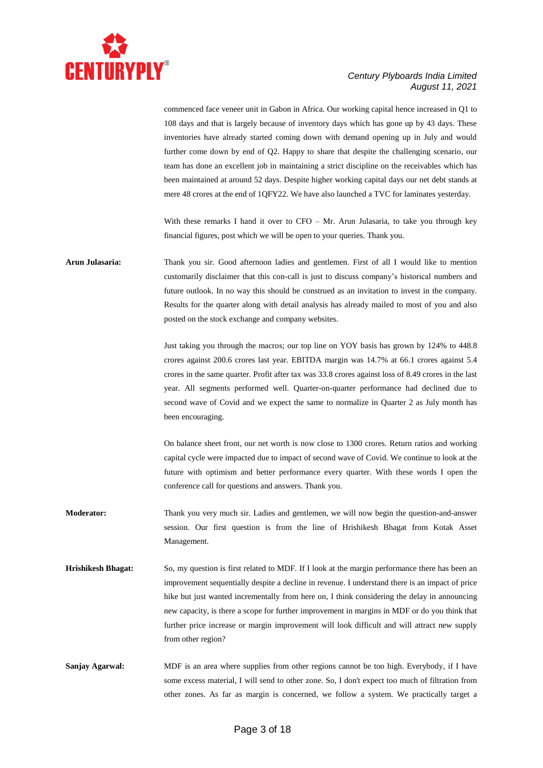

commenced face veneer unit in Gabon in Africa. Our working capital hence increased in Q1 to 108 days and that is largely because of inventory days which has gone up by 43 days. These inventories have already started coming down with demand opening up in July and would further come down by end of Q2. Happy to share that despite the challenging scenario, our team has done an excellent job in maintaining a strict discipline on the receivables which has been maintained at around 52 days. Despite higher working capital days our net debt stands at mere 48 crores at the end of 1QFY22. We have also launched a TVC for laminates yesterday.

With these remarks I hand it over to  $CFO - Mr$ . Arun Julasaria, to take you through key financial figures, post which we will be open to your queries. Thank you.

**Arun Julasaria:** Thank you sir. Good afternoon ladies and gentlemen. First of all I would like to mention customarily disclaimer that this con-call is just to discuss company's historical numbers and future outlook. In no way this should be construed as an invitation to invest in the company. Results for the quarter along with detail analysis has already mailed to most of you and also posted on the stock exchange and company websites.

> Just taking you through the macros; our top line on YOY basis has grown by 124% to 448.8 crores against 200.6 crores last year. EBITDA margin was 14.7% at 66.1 crores against 5.4 crores in the same quarter. Profit after tax was 33.8 crores against loss of 8.49 crores in the last year. All segments performed well. Quarter-on-quarter performance had declined due to second wave of Covid and we expect the same to normalize in Quarter 2 as July month has been encouraging.

> On balance sheet front, our net worth is now close to 1300 crores. Return ratios and working capital cycle were impacted due to impact of second wave of Covid. We continue to look at the future with optimism and better performance every quarter. With these words I open the conference call for questions and answers. Thank you.

- **Moderator:** Thank you very much sir. Ladies and gentlemen, we will now begin the question-and-answer session. Our first question is from the line of Hrishikesh Bhagat from Kotak Asset Management.
- **Hrishikesh Bhagat:** So, my question is first related to MDF. If I look at the margin performance there has been an improvement sequentially despite a decline in revenue. I understand there is an impact of price hike but just wanted incrementally from here on, I think considering the delay in announcing new capacity, is there a scope for further improvement in margins in MDF or do you think that further price increase or margin improvement will look difficult and will attract new supply from other region?
- **Sanjay Agarwal:** MDF is an area where supplies from other regions cannot be too high. Everybody, if I have some excess material, I will send to other zone. So, I don't expect too much of filtration from other zones. As far as margin is concerned, we follow a system. We practically target a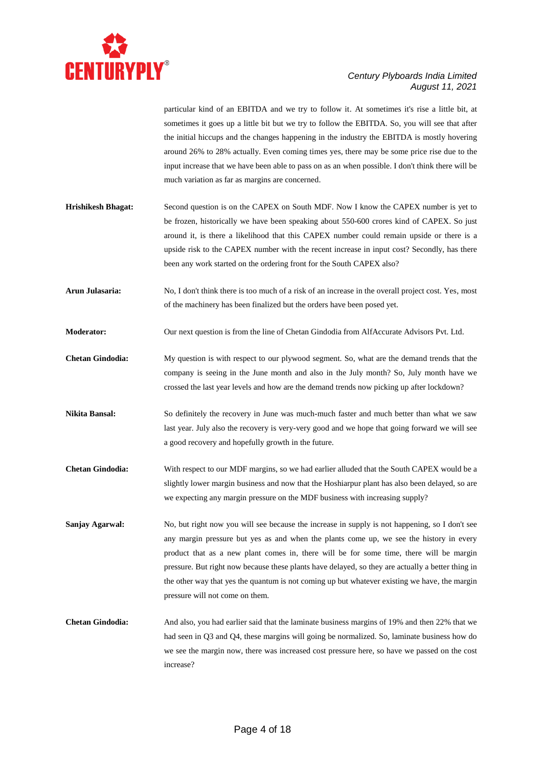

particular kind of an EBITDA and we try to follow it. At sometimes it's rise a little bit, at sometimes it goes up a little bit but we try to follow the EBITDA. So, you will see that after the initial hiccups and the changes happening in the industry the EBITDA is mostly hovering around 26% to 28% actually. Even coming times yes, there may be some price rise due to the input increase that we have been able to pass on as an when possible. I don't think there will be much variation as far as margins are concerned.

- **Hrishikesh Bhagat:** Second question is on the CAPEX on South MDF. Now I know the CAPEX number is yet to be frozen, historically we have been speaking about 550-600 crores kind of CAPEX. So just around it, is there a likelihood that this CAPEX number could remain upside or there is a upside risk to the CAPEX number with the recent increase in input cost? Secondly, has there been any work started on the ordering front for the South CAPEX also?
- **Arun Julasaria:** No, I don't think there is too much of a risk of an increase in the overall project cost. Yes, most of the machinery has been finalized but the orders have been posed yet.
- **Moderator:** Our next question is from the line of Chetan Gindodia from AlfAccurate Advisors Pvt. Ltd.
- **Chetan Gindodia:** My question is with respect to our plywood segment. So, what are the demand trends that the company is seeing in the June month and also in the July month? So, July month have we crossed the last year levels and how are the demand trends now picking up after lockdown?
- **Nikita Bansal:** So definitely the recovery in June was much-much faster and much better than what we saw last year. July also the recovery is very-very good and we hope that going forward we will see a good recovery and hopefully growth in the future.
- **Chetan Gindodia:** With respect to our MDF margins, so we had earlier alluded that the South CAPEX would be a slightly lower margin business and now that the Hoshiarpur plant has also been delayed, so are we expecting any margin pressure on the MDF business with increasing supply?
- **Sanjay Agarwal:** No, but right now you will see because the increase in supply is not happening, so I don't see any margin pressure but yes as and when the plants come up, we see the history in every product that as a new plant comes in, there will be for some time, there will be margin pressure. But right now because these plants have delayed, so they are actually a better thing in the other way that yes the quantum is not coming up but whatever existing we have, the margin pressure will not come on them.
- **Chetan Gindodia:** And also, you had earlier said that the laminate business margins of 19% and then 22% that we had seen in Q3 and Q4, these margins will going be normalized. So, laminate business how do we see the margin now, there was increased cost pressure here, so have we passed on the cost increase?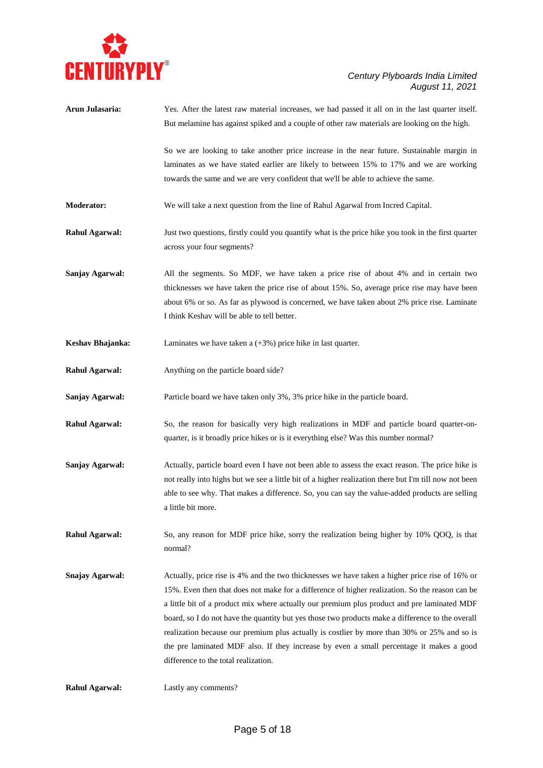

| Arun Julasaria:        | Yes. After the latest raw material increases, we had passed it all on in the last quarter itself.     |
|------------------------|-------------------------------------------------------------------------------------------------------|
|                        | But melamine has against spiked and a couple of other raw materials are looking on the high.          |
|                        | So we are looking to take another price increase in the near future. Sustainable margin in            |
|                        | laminates as we have stated earlier are likely to between 15% to 17% and we are working               |
|                        | towards the same and we are very confident that we'll be able to achieve the same.                    |
| Moderator:             | We will take a next question from the line of Rahul Agarwal from Incred Capital.                      |
| <b>Rahul Agarwal:</b>  | Just two questions, firstly could you quantify what is the price hike you took in the first quarter   |
|                        | across your four segments?                                                                            |
| Sanjay Agarwal:        | All the segments. So MDF, we have taken a price rise of about 4% and in certain two                   |
|                        | thicknesses we have taken the price rise of about 15%. So, average price rise may have been           |
|                        | about 6% or so. As far as plywood is concerned, we have taken about 2% price rise. Laminate           |
|                        | I think Keshav will be able to tell better.                                                           |
| Keshav Bhajanka:       | Laminates we have taken a $(+3%)$ price hike in last quarter.                                         |
| <b>Rahul Agarwal:</b>  | Anything on the particle board side?                                                                  |
| Sanjay Agarwal:        | Particle board we have taken only 3%, 3% price hike in the particle board.                            |
| <b>Rahul Agarwal:</b>  | So, the reason for basically very high realizations in MDF and particle board quarter-on-             |
|                        | quarter, is it broadly price hikes or is it everything else? Was this number normal?                  |
| Sanjay Agarwal:        | Actually, particle board even I have not been able to assess the exact reason. The price hike is      |
|                        | not really into highs but we see a little bit of a higher realization there but I'm till now not been |
|                        | able to see why. That makes a difference. So, you can say the value-added products are selling        |
|                        | a little bit more.                                                                                    |
| <b>Rahul Agarwal:</b>  | So, any reason for MDF price hike, sorry the realization being higher by 10% QOQ, is that             |
|                        | normal?                                                                                               |
| <b>Snajay Agarwal:</b> | Actually, price rise is 4% and the two thicknesses we have taken a higher price rise of 16% or        |
|                        | 15%. Even then that does not make for a difference of higher realization. So the reason can be        |
|                        | a little bit of a product mix where actually our premium plus product and pre laminated MDF           |
|                        | board, so I do not have the quantity but yes those two products make a difference to the overall      |
|                        | realization because our premium plus actually is costlier by more than 30% or 25% and so is           |
|                        | the pre laminated MDF also. If they increase by even a small percentage it makes a good               |
|                        | difference to the total realization.                                                                  |
| <b>Rahul Agarwal:</b>  | Lastly any comments?                                                                                  |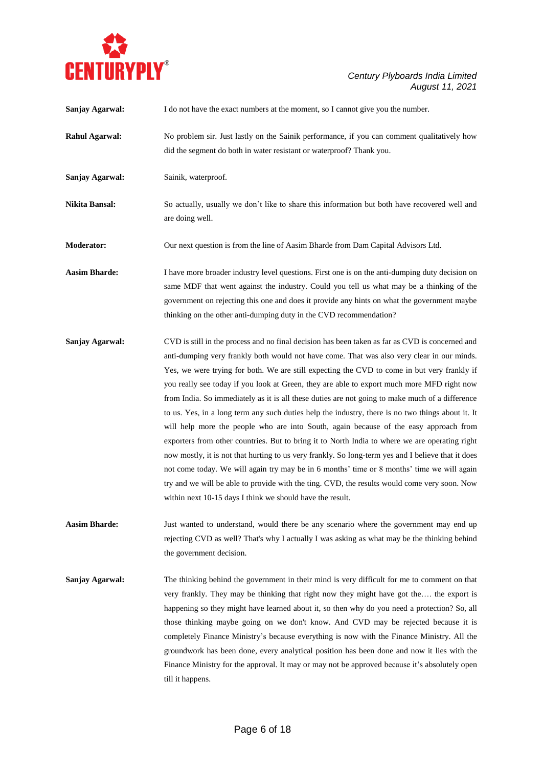

| Sanjay Agarwal:       | I do not have the exact numbers at the moment, so I cannot give you the number.                                                                                                                                                                                                                                                                                                                                                                                                                                                                                                                                                                                                                                                                                                                                                                                                                                                                                                                                                                                                                                                                                |
|-----------------------|----------------------------------------------------------------------------------------------------------------------------------------------------------------------------------------------------------------------------------------------------------------------------------------------------------------------------------------------------------------------------------------------------------------------------------------------------------------------------------------------------------------------------------------------------------------------------------------------------------------------------------------------------------------------------------------------------------------------------------------------------------------------------------------------------------------------------------------------------------------------------------------------------------------------------------------------------------------------------------------------------------------------------------------------------------------------------------------------------------------------------------------------------------------|
| <b>Rahul Agarwal:</b> | No problem sir. Just lastly on the Sainik performance, if you can comment qualitatively how<br>did the segment do both in water resistant or waterproof? Thank you.                                                                                                                                                                                                                                                                                                                                                                                                                                                                                                                                                                                                                                                                                                                                                                                                                                                                                                                                                                                            |
| Sanjay Agarwal:       | Sainik, waterproof.                                                                                                                                                                                                                                                                                                                                                                                                                                                                                                                                                                                                                                                                                                                                                                                                                                                                                                                                                                                                                                                                                                                                            |
| Nikita Bansal:        | So actually, usually we don't like to share this information but both have recovered well and<br>are doing well.                                                                                                                                                                                                                                                                                                                                                                                                                                                                                                                                                                                                                                                                                                                                                                                                                                                                                                                                                                                                                                               |
| Moderator:            | Our next question is from the line of Aasim Bharde from Dam Capital Advisors Ltd.                                                                                                                                                                                                                                                                                                                                                                                                                                                                                                                                                                                                                                                                                                                                                                                                                                                                                                                                                                                                                                                                              |
| <b>Aasim Bharde:</b>  | I have more broader industry level questions. First one is on the anti-dumping duty decision on<br>same MDF that went against the industry. Could you tell us what may be a thinking of the<br>government on rejecting this one and does it provide any hints on what the government maybe<br>thinking on the other anti-dumping duty in the CVD recommendation?                                                                                                                                                                                                                                                                                                                                                                                                                                                                                                                                                                                                                                                                                                                                                                                               |
| Sanjay Agarwal:       | CVD is still in the process and no final decision has been taken as far as CVD is concerned and<br>anti-dumping very frankly both would not have come. That was also very clear in our minds.<br>Yes, we were trying for both. We are still expecting the CVD to come in but very frankly if<br>you really see today if you look at Green, they are able to export much more MFD right now<br>from India. So immediately as it is all these duties are not going to make much of a difference<br>to us. Yes, in a long term any such duties help the industry, there is no two things about it. It<br>will help more the people who are into South, again because of the easy approach from<br>exporters from other countries. But to bring it to North India to where we are operating right<br>now mostly, it is not that hurting to us very frankly. So long-term yes and I believe that it does<br>not come today. We will again try may be in 6 months' time or 8 months' time we will again<br>try and we will be able to provide with the ting. CVD, the results would come very soon. Now<br>within next 10-15 days I think we should have the result. |
| <b>Aasim Bharde:</b>  | Just wanted to understand, would there be any scenario where the government may end up<br>rejecting CVD as well? That's why I actually I was asking as what may be the thinking behind<br>the government decision.                                                                                                                                                                                                                                                                                                                                                                                                                                                                                                                                                                                                                                                                                                                                                                                                                                                                                                                                             |
| Sanjay Agarwal:       | The thinking behind the government in their mind is very difficult for me to comment on that<br>very frankly. They may be thinking that right now they might have got the the export is<br>happening so they might have learned about it, so then why do you need a protection? So, all<br>those thinking maybe going on we don't know. And CVD may be rejected because it is<br>completely Finance Ministry's because everything is now with the Finance Ministry. All the<br>groundwork has been done, every analytical position has been done and now it lies with the<br>Finance Ministry for the approval. It may or may not be approved because it's absolutely open<br>till it happens.                                                                                                                                                                                                                                                                                                                                                                                                                                                                 |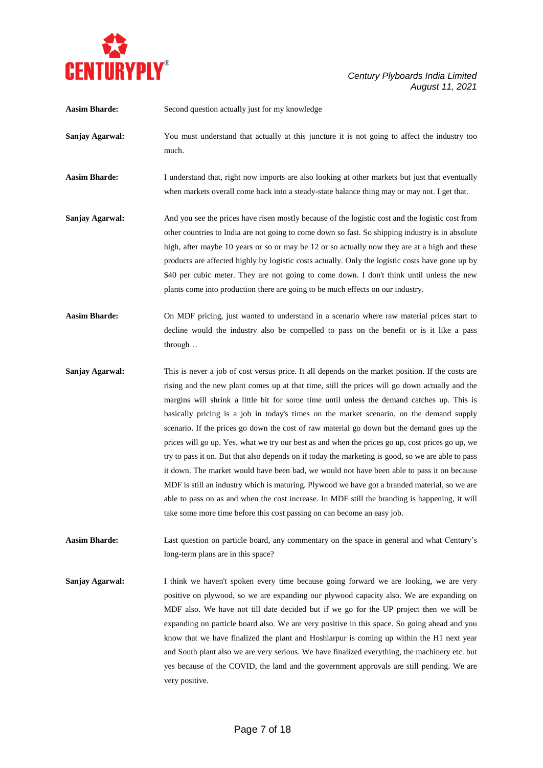

| <b>Aasim Bharde:</b> | Second question actually just for my knowledge                                                                                                                                                                                                                                                                                                                                                                                                                                                                                                                                                                                                                                                                                                                                                                                                                                                                                                                                                                                                                                     |
|----------------------|------------------------------------------------------------------------------------------------------------------------------------------------------------------------------------------------------------------------------------------------------------------------------------------------------------------------------------------------------------------------------------------------------------------------------------------------------------------------------------------------------------------------------------------------------------------------------------------------------------------------------------------------------------------------------------------------------------------------------------------------------------------------------------------------------------------------------------------------------------------------------------------------------------------------------------------------------------------------------------------------------------------------------------------------------------------------------------|
| Sanjay Agarwal:      | You must understand that actually at this juncture it is not going to affect the industry too<br>much.                                                                                                                                                                                                                                                                                                                                                                                                                                                                                                                                                                                                                                                                                                                                                                                                                                                                                                                                                                             |
| <b>Aasim Bharde:</b> | I understand that, right now imports are also looking at other markets but just that eventually<br>when markets overall come back into a steady-state balance thing may or may not. I get that.                                                                                                                                                                                                                                                                                                                                                                                                                                                                                                                                                                                                                                                                                                                                                                                                                                                                                    |
| Sanjay Agarwal:      | And you see the prices have risen mostly because of the logistic cost and the logistic cost from<br>other countries to India are not going to come down so fast. So shipping industry is in absolute<br>high, after maybe 10 years or so or may be 12 or so actually now they are at a high and these<br>products are affected highly by logistic costs actually. Only the logistic costs have gone up by<br>\$40 per cubic meter. They are not going to come down. I don't think until unless the new<br>plants come into production there are going to be much effects on our industry.                                                                                                                                                                                                                                                                                                                                                                                                                                                                                          |
| <b>Aasim Bharde:</b> | On MDF pricing, just wanted to understand in a scenario where raw material prices start to<br>decline would the industry also be compelled to pass on the benefit or is it like a pass<br>through                                                                                                                                                                                                                                                                                                                                                                                                                                                                                                                                                                                                                                                                                                                                                                                                                                                                                  |
| Sanjay Agarwal:      | This is never a job of cost versus price. It all depends on the market position. If the costs are<br>rising and the new plant comes up at that time, still the prices will go down actually and the<br>margins will shrink a little bit for some time until unless the demand catches up. This is<br>basically pricing is a job in today's times on the market scenario, on the demand supply<br>scenario. If the prices go down the cost of raw material go down but the demand goes up the<br>prices will go up. Yes, what we try our best as and when the prices go up, cost prices go up, we<br>try to pass it on. But that also depends on if today the marketing is good, so we are able to pass<br>it down. The market would have been bad, we would not have been able to pass it on because<br>MDF is still an industry which is maturing. Plywood we have got a branded material, so we are<br>able to pass on as and when the cost increase. In MDF still the branding is happening, it will<br>take some more time before this cost passing on can become an easy job. |
| <b>Aasim Bharde:</b> | Last question on particle board, any commentary on the space in general and what Century's<br>long-term plans are in this space?                                                                                                                                                                                                                                                                                                                                                                                                                                                                                                                                                                                                                                                                                                                                                                                                                                                                                                                                                   |
| Sanjay Agarwal:      | I think we haven't spoken every time because going forward we are looking, we are very<br>nositive on plywood, so we are expanding our plywood capacity also. We are expanding on                                                                                                                                                                                                                                                                                                                                                                                                                                                                                                                                                                                                                                                                                                                                                                                                                                                                                                  |

positive on plywood, so we are expanding our plywood capacity also. We are expanding on MDF also. We have not till date decided but if we go for the UP project then we will be expanding on particle board also. We are very positive in this space. So going ahead and you know that we have finalized the plant and Hoshiarpur is coming up within the H1 next year and South plant also we are very serious. We have finalized everything, the machinery etc. but yes because of the COVID, the land and the government approvals are still pending. We are very positive.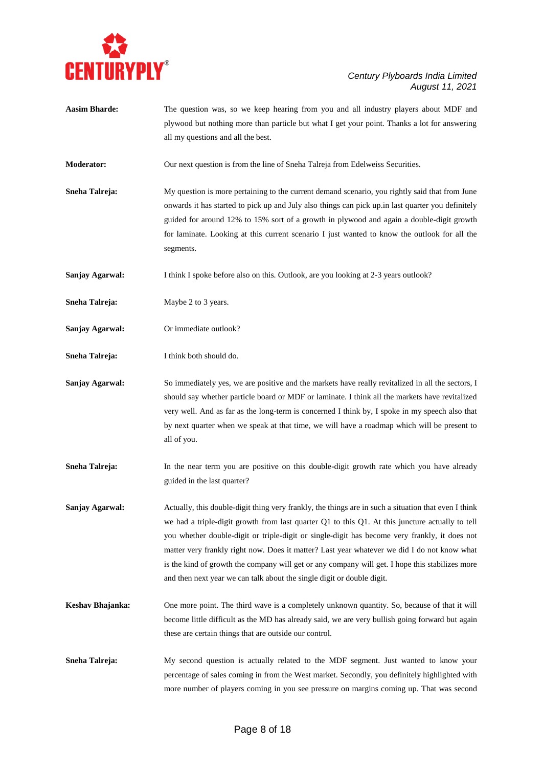

| <b>Aasim Bharde:</b> | The question was, so we keep hearing from you and all industry players about MDF and<br>plywood but nothing more than particle but what I get your point. Thanks a lot for answering                                                                                                                                                                                                                                                                                                                                                                                                 |
|----------------------|--------------------------------------------------------------------------------------------------------------------------------------------------------------------------------------------------------------------------------------------------------------------------------------------------------------------------------------------------------------------------------------------------------------------------------------------------------------------------------------------------------------------------------------------------------------------------------------|
|                      | all my questions and all the best.                                                                                                                                                                                                                                                                                                                                                                                                                                                                                                                                                   |
| Moderator:           | Our next question is from the line of Sneha Talreja from Edelweiss Securities.                                                                                                                                                                                                                                                                                                                                                                                                                                                                                                       |
| Sneha Talreja:       | My question is more pertaining to the current demand scenario, you rightly said that from June<br>onwards it has started to pick up and July also things can pick up in last quarter you definitely<br>guided for around 12% to 15% sort of a growth in plywood and again a double-digit growth<br>for laminate. Looking at this current scenario I just wanted to know the outlook for all the<br>segments.                                                                                                                                                                         |
| Sanjay Agarwal:      | I think I spoke before also on this. Outlook, are you looking at 2-3 years outlook?                                                                                                                                                                                                                                                                                                                                                                                                                                                                                                  |
| Sneha Talreja:       | Maybe 2 to 3 years.                                                                                                                                                                                                                                                                                                                                                                                                                                                                                                                                                                  |
| Sanjay Agarwal:      | Or immediate outlook?                                                                                                                                                                                                                                                                                                                                                                                                                                                                                                                                                                |
| Sneha Talreja:       | I think both should do.                                                                                                                                                                                                                                                                                                                                                                                                                                                                                                                                                              |
| Sanjay Agarwal:      | So immediately yes, we are positive and the markets have really revitalized in all the sectors, I<br>should say whether particle board or MDF or laminate. I think all the markets have revitalized<br>very well. And as far as the long-term is concerned I think by, I spoke in my speech also that<br>by next quarter when we speak at that time, we will have a roadmap which will be present to<br>all of you.                                                                                                                                                                  |
| Sneha Talreja:       | In the near term you are positive on this double-digit growth rate which you have already<br>guided in the last quarter?                                                                                                                                                                                                                                                                                                                                                                                                                                                             |
| Sanjay Agarwal:      | Actually, this double-digit thing very frankly, the things are in such a situation that even I think<br>we had a triple-digit growth from last quarter Q1 to this Q1. At this juncture actually to tell<br>you whether double-digit or triple-digit or single-digit has become very frankly, it does not<br>matter very frankly right now. Does it matter? Last year whatever we did I do not know what<br>is the kind of growth the company will get or any company will get. I hope this stabilizes more<br>and then next year we can talk about the single digit or double digit. |
| Keshav Bhajanka:     | One more point. The third wave is a completely unknown quantity. So, because of that it will<br>become little difficult as the MD has already said, we are very bullish going forward but again<br>these are certain things that are outside our control.                                                                                                                                                                                                                                                                                                                            |
| Sneha Talreja:       | My second question is actually related to the MDF segment. Just wanted to know your<br>percentage of sales coming in from the West market. Secondly, you definitely highlighted with                                                                                                                                                                                                                                                                                                                                                                                                 |

more number of players coming in you see pressure on margins coming up. That was second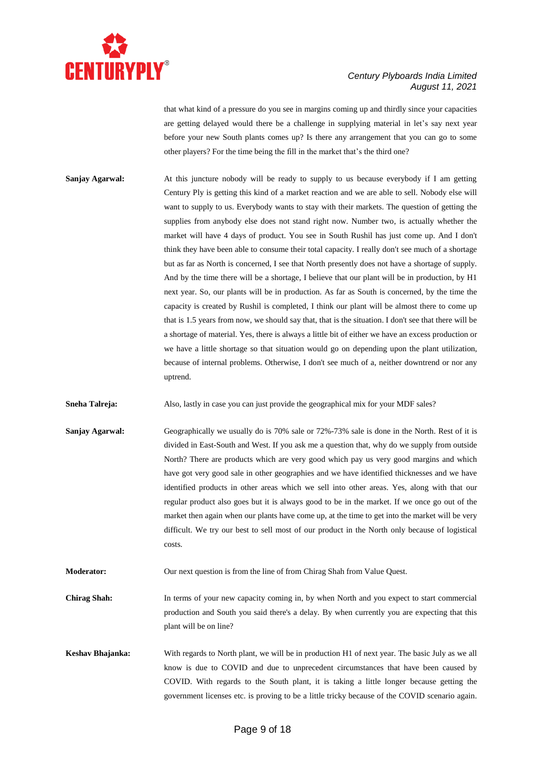

that what kind of a pressure do you see in margins coming up and thirdly since your capacities are getting delayed would there be a challenge in supplying material in let's say next year before your new South plants comes up? Is there any arrangement that you can go to some other players? For the time being the fill in the market that's the third one?

**Sanjay Agarwal:** At this juncture nobody will be ready to supply to us because everybody if I am getting Century Ply is getting this kind of a market reaction and we are able to sell. Nobody else will want to supply to us. Everybody wants to stay with their markets. The question of getting the supplies from anybody else does not stand right now. Number two, is actually whether the market will have 4 days of product. You see in South Rushil has just come up. And I don't think they have been able to consume their total capacity. I really don't see much of a shortage but as far as North is concerned, I see that North presently does not have a shortage of supply. And by the time there will be a shortage, I believe that our plant will be in production, by H1 next year. So, our plants will be in production. As far as South is concerned, by the time the capacity is created by Rushil is completed, I think our plant will be almost there to come up that is 1.5 years from now, we should say that, that is the situation. I don't see that there will be a shortage of material. Yes, there is always a little bit of either we have an excess production or we have a little shortage so that situation would go on depending upon the plant utilization, because of internal problems. Otherwise, I don't see much of a, neither downtrend or nor any uptrend.

**Sneha Talreja:** Also, lastly in case you can just provide the geographical mix for your MDF sales?

- **Sanjay Agarwal:** Geographically we usually do is 70% sale or 72%-73% sale is done in the North. Rest of it is divided in East-South and West. If you ask me a question that, why do we supply from outside North? There are products which are very good which pay us very good margins and which have got very good sale in other geographies and we have identified thicknesses and we have identified products in other areas which we sell into other areas. Yes, along with that our regular product also goes but it is always good to be in the market. If we once go out of the market then again when our plants have come up, at the time to get into the market will be very difficult. We try our best to sell most of our product in the North only because of logistical costs.
- **Moderator:** Our next question is from the line of from Chirag Shah from Value Quest.
- **Chirag Shah:** In terms of your new capacity coming in, by when North and you expect to start commercial production and South you said there's a delay. By when currently you are expecting that this plant will be on line?
- **Keshav Bhajanka:** With regards to North plant, we will be in production H1 of next year. The basic July as we all know is due to COVID and due to unprecedent circumstances that have been caused by COVID. With regards to the South plant, it is taking a little longer because getting the government licenses etc. is proving to be a little tricky because of the COVID scenario again.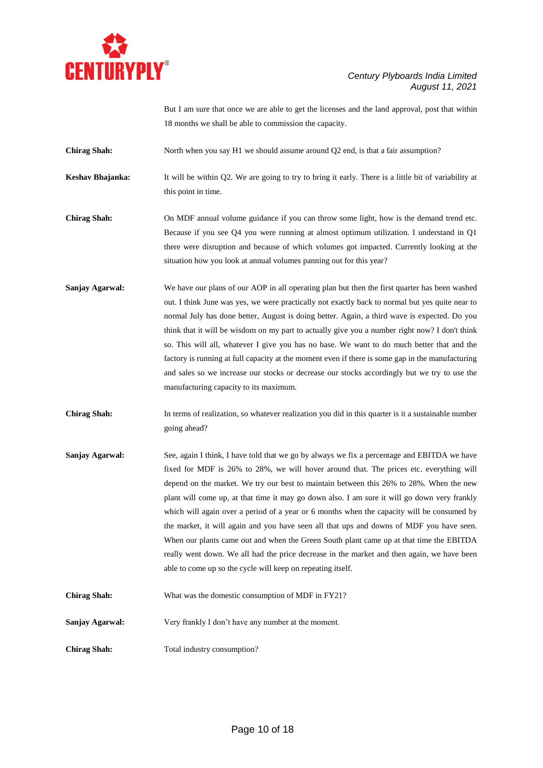

But I am sure that once we are able to get the licenses and the land approval, post that within 18 months we shall be able to commission the capacity.

**Chirag Shah:** North when you say H1 we should assume around Q2 end, is that a fair assumption?

**Keshav Bhajanka:** It will be within Q2. We are going to try to bring it early. There is a little bit of variability at this point in time.

**Chirag Shah:** On MDF annual volume guidance if you can throw some light, how is the demand trend etc. Because if you see Q4 you were running at almost optimum utilization. I understand in Q1 there were disruption and because of which volumes got impacted. Currently looking at the situation how you look at annual volumes panning out for this year?

**Sanjay Agarwal:** We have our plans of our AOP in all operating plan but then the first quarter has been washed out. I think June was yes, we were practically not exactly back to normal but yes quite near to normal July has done better, August is doing better. Again, a third wave is expected. Do you think that it will be wisdom on my part to actually give you a number right now? I don't think so. This will all, whatever I give you has no base. We want to do much better that and the factory is running at full capacity at the moment even if there is some gap in the manufacturing and sales so we increase our stocks or decrease our stocks accordingly but we try to use the manufacturing capacity to its maximum.

**Chirag Shah:** In terms of realization, so whatever realization you did in this quarter is it a sustainable number going ahead?

- **Sanjay Agarwal:** See, again I think, I have told that we go by always we fix a percentage and EBITDA we have fixed for MDF is 26% to 28%, we will hover around that. The prices etc. everything will depend on the market. We try our best to maintain between this 26% to 28%. When the new plant will come up, at that time it may go down also. I am sure it will go down very frankly which will again over a period of a year or 6 months when the capacity will be consumed by the market, it will again and you have seen all that ups and downs of MDF you have seen. When our plants came out and when the Green South plant came up at that time the EBITDA really went down. We all had the price decrease in the market and then again, we have been able to come up so the cycle will keep on repeating itself.
- **Chirag Shah:** What was the domestic consumption of MDF in FY21?

**Sanjay Agarwal:** Very frankly I don't have any number at the moment.

**Chirag Shah:** Total industry consumption?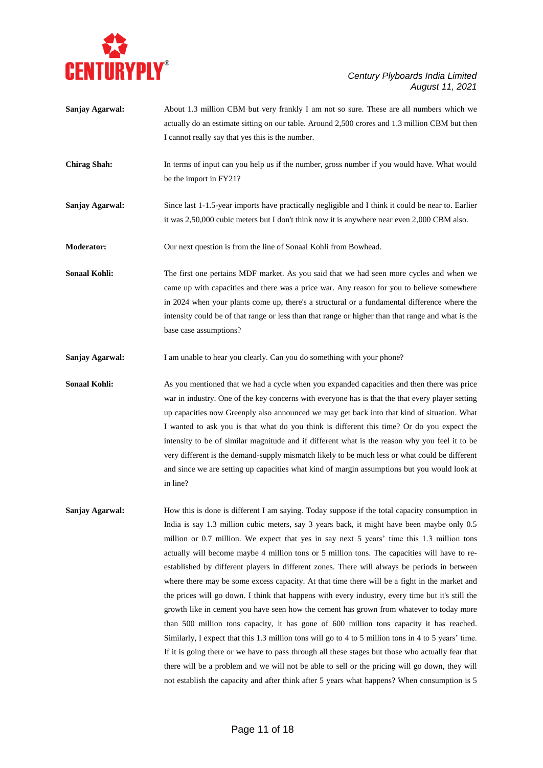

| <b>Sanjay Agarwal:</b> | About 1.3 million CBM but very frankly I am not so sure. These are all numbers which we<br>actually do an estimate sitting on our table. Around 2,500 crores and 1.3 million CBM but then<br>I cannot really say that yes this is the number.                                                                                                                                                                         |
|------------------------|-----------------------------------------------------------------------------------------------------------------------------------------------------------------------------------------------------------------------------------------------------------------------------------------------------------------------------------------------------------------------------------------------------------------------|
| <b>Chirag Shah:</b>    | In terms of input can you help us if the number, gross number if you would have. What would<br>be the import in FY21?                                                                                                                                                                                                                                                                                                 |
| Sanjay Agarwal:        | Since last 1-1.5-year imports have practically negligible and I think it could be near to. Earlier<br>it was 2,50,000 cubic meters but I don't think now it is anywhere near even 2,000 CBM also.                                                                                                                                                                                                                     |
| <b>Moderator:</b>      | Our next question is from the line of Sonaal Kohli from Bowhead.                                                                                                                                                                                                                                                                                                                                                      |
| <b>Sonaal Kohli:</b>   | The first one pertains MDF market. As you said that we had seen more cycles and when we<br>came up with capacities and there was a price war. Any reason for you to believe somewhere<br>in 2024 when your plants come up, there's a structural or a fundamental difference where the<br>intensity could be of that range or less than that range or higher than that range and what is the<br>base case assumptions? |
| <b>Sanjay Agarwal:</b> | I am unable to hear you clearly. Can you do something with your phone?                                                                                                                                                                                                                                                                                                                                                |
| <b>Sonaal Kohli:</b>   | As you mentioned that we had a cycle when you expanded capacities and then there was price<br>war in industry. One of the key concerns with everyone has is that the that every player setting                                                                                                                                                                                                                        |

up capacities now Greenply also announced we may get back into that kind of situation. What I wanted to ask you is that what do you think is different this time? Or do you expect the intensity to be of similar magnitude and if different what is the reason why you feel it to be very different is the demand-supply mismatch likely to be much less or what could be different and since we are setting up capacities what kind of margin assumptions but you would look at in line?

**Sanjay Agarwal:** How this is done is different I am saying. Today suppose if the total capacity consumption in India is say 1.3 million cubic meters, say 3 years back, it might have been maybe only 0.5 million or 0.7 million. We expect that yes in say next 5 years' time this 1.3 million tons actually will become maybe 4 million tons or 5 million tons. The capacities will have to reestablished by different players in different zones. There will always be periods in between where there may be some excess capacity. At that time there will be a fight in the market and the prices will go down. I think that happens with every industry, every time but it's still the growth like in cement you have seen how the cement has grown from whatever to today more than 500 million tons capacity, it has gone of 600 million tons capacity it has reached. Similarly, I expect that this 1.3 million tons will go to 4 to 5 million tons in 4 to 5 years' time. If it is going there or we have to pass through all these stages but those who actually fear that there will be a problem and we will not be able to sell or the pricing will go down, they will not establish the capacity and after think after 5 years what happens? When consumption is 5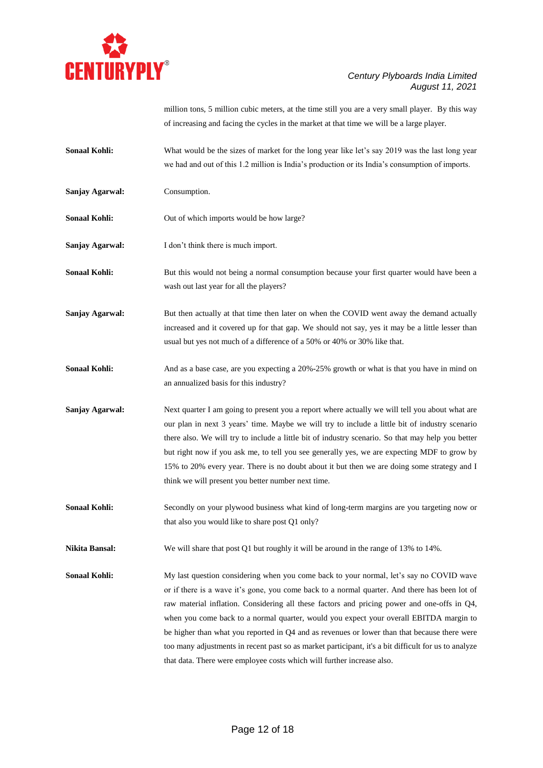

million tons, 5 million cubic meters, at the time still you are a very small player. By this way of increasing and facing the cycles in the market at that time we will be a large player.

- **Sonaal Kohli:** What would be the sizes of market for the long year like let's say 2019 was the last long year we had and out of this 1.2 million is India's production or its India's consumption of imports.
- **Sanjay Agarwal:** Consumption.

**Sonaal Kohli:** Out of which imports would be how large?

**Sanjay Agarwal:** I don't think there is much import.

**Sonaal Kohli:** But this would not being a normal consumption because your first quarter would have been a wash out last year for all the players?

**Sanjay Agarwal:** But then actually at that time then later on when the COVID went away the demand actually increased and it covered up for that gap. We should not say, yes it may be a little lesser than usual but yes not much of a difference of a 50% or 40% or 30% like that.

**Sonaal Kohli:** And as a base case, are you expecting a 20%-25% growth or what is that you have in mind on an annualized basis for this industry?

**Sanjay Agarwal:** Next quarter I am going to present you a report where actually we will tell you about what are our plan in next 3 years' time. Maybe we will try to include a little bit of industry scenario there also. We will try to include a little bit of industry scenario. So that may help you better but right now if you ask me, to tell you see generally yes, we are expecting MDF to grow by 15% to 20% every year. There is no doubt about it but then we are doing some strategy and I think we will present you better number next time.

**Sonaal Kohli:** Secondly on your plywood business what kind of long-term margins are you targeting now or that also you would like to share post Q1 only?

**Nikita Bansal:** We will share that post Q1 but roughly it will be around in the range of 13% to 14%.

**Sonaal Kohli:** My last question considering when you come back to your normal, let's say no COVID wave or if there is a wave it's gone, you come back to a normal quarter. And there has been lot of raw material inflation. Considering all these factors and pricing power and one-offs in Q4, when you come back to a normal quarter, would you expect your overall EBITDA margin to be higher than what you reported in Q4 and as revenues or lower than that because there were too many adjustments in recent past so as market participant, it's a bit difficult for us to analyze that data. There were employee costs which will further increase also.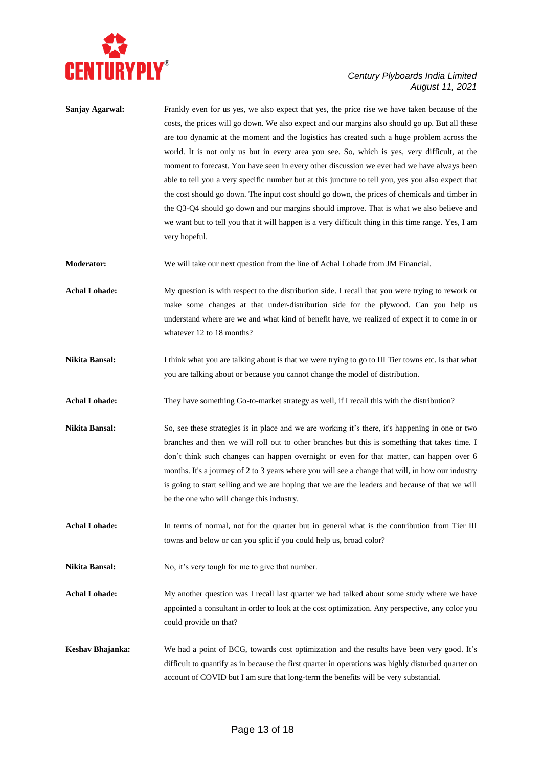

| Sanjay Agarwal:      | Frankly even for us yes, we also expect that yes, the price rise we have taken because of the<br>costs, the prices will go down. We also expect and our margins also should go up. But all these<br>are too dynamic at the moment and the logistics has created such a huge problem across the<br>world. It is not only us but in every area you see. So, which is yes, very difficult, at the<br>moment to forecast. You have seen in every other discussion we ever had we have always been<br>able to tell you a very specific number but at this juncture to tell you, yes you also expect that<br>the cost should go down. The input cost should go down, the prices of chemicals and timber in<br>the Q3-Q4 should go down and our margins should improve. That is what we also believe and<br>we want but to tell you that it will happen is a very difficult thing in this time range. Yes, I am<br>very hopeful. |
|----------------------|---------------------------------------------------------------------------------------------------------------------------------------------------------------------------------------------------------------------------------------------------------------------------------------------------------------------------------------------------------------------------------------------------------------------------------------------------------------------------------------------------------------------------------------------------------------------------------------------------------------------------------------------------------------------------------------------------------------------------------------------------------------------------------------------------------------------------------------------------------------------------------------------------------------------------|
| <b>Moderator:</b>    | We will take our next question from the line of Achal Lohade from JM Financial.                                                                                                                                                                                                                                                                                                                                                                                                                                                                                                                                                                                                                                                                                                                                                                                                                                           |
| <b>Achal Lohade:</b> | My question is with respect to the distribution side. I recall that you were trying to rework or<br>make some changes at that under-distribution side for the plywood. Can you help us<br>understand where are we and what kind of benefit have, we realized of expect it to come in or<br>whatever 12 to 18 months?                                                                                                                                                                                                                                                                                                                                                                                                                                                                                                                                                                                                      |
| Nikita Bansal:       | I think what you are talking about is that we were trying to go to III Tier towns etc. Is that what<br>you are talking about or because you cannot change the model of distribution.                                                                                                                                                                                                                                                                                                                                                                                                                                                                                                                                                                                                                                                                                                                                      |
| <b>Achal Lohade:</b> | They have something Go-to-market strategy as well, if I recall this with the distribution?                                                                                                                                                                                                                                                                                                                                                                                                                                                                                                                                                                                                                                                                                                                                                                                                                                |
| Nikita Bansal:       | So, see these strategies is in place and we are working it's there, it's happening in one or two<br>branches and then we will roll out to other branches but this is something that takes time. I<br>don't think such changes can happen overnight or even for that matter, can happen over 6<br>months. It's a journey of 2 to 3 years where you will see a change that will, in how our industry<br>is going to start selling and we are hoping that we are the leaders and because of that we will<br>be the one who will change this industry.                                                                                                                                                                                                                                                                                                                                                                        |
| <b>Achal Lohade:</b> | In terms of normal, not for the quarter but in general what is the contribution from Tier III<br>towns and below or can you split if you could help us, broad color?                                                                                                                                                                                                                                                                                                                                                                                                                                                                                                                                                                                                                                                                                                                                                      |
| Nikita Bansal:       | No, it's very tough for me to give that number.                                                                                                                                                                                                                                                                                                                                                                                                                                                                                                                                                                                                                                                                                                                                                                                                                                                                           |
| <b>Achal Lohade:</b> | My another question was I recall last quarter we had talked about some study where we have<br>appointed a consultant in order to look at the cost optimization. Any perspective, any color you<br>could provide on that?                                                                                                                                                                                                                                                                                                                                                                                                                                                                                                                                                                                                                                                                                                  |
| Keshav Bhajanka:     | We had a point of BCG, towards cost optimization and the results have been very good. It's<br>difficult to quantify as in because the first quarter in operations was highly disturbed quarter on<br>account of COVID but I am sure that long-term the benefits will be very substantial.                                                                                                                                                                                                                                                                                                                                                                                                                                                                                                                                                                                                                                 |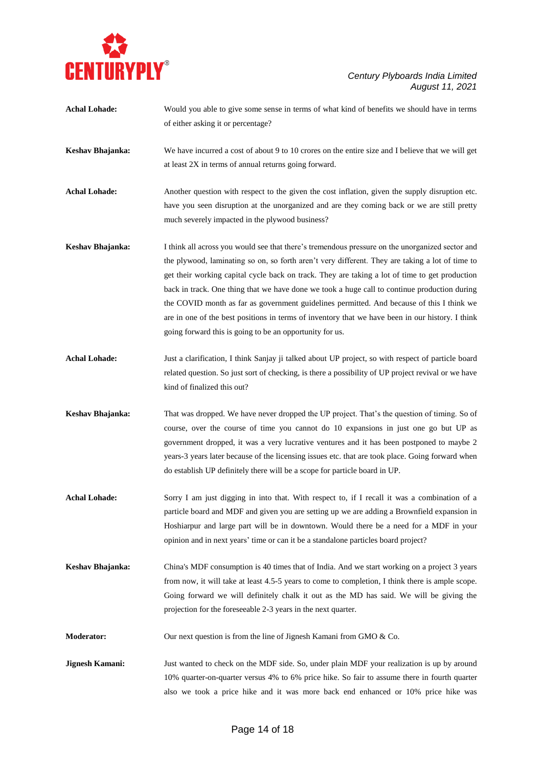

| <b>Achal Lohade:</b> | Would you able to give some sense in terms of what kind of benefits we should have in terms<br>of either asking it or percentage?                                                                                                                                                                                                                                                                                                                                                                                                                                                                                                                                 |
|----------------------|-------------------------------------------------------------------------------------------------------------------------------------------------------------------------------------------------------------------------------------------------------------------------------------------------------------------------------------------------------------------------------------------------------------------------------------------------------------------------------------------------------------------------------------------------------------------------------------------------------------------------------------------------------------------|
| Keshav Bhajanka:     | We have incurred a cost of about 9 to 10 crores on the entire size and I believe that we will get<br>at least 2X in terms of annual returns going forward.                                                                                                                                                                                                                                                                                                                                                                                                                                                                                                        |
| <b>Achal Lohade:</b> | Another question with respect to the given the cost inflation, given the supply disruption etc.<br>have you seen disruption at the unorganized and are they coming back or we are still pretty<br>much severely impacted in the plywood business?                                                                                                                                                                                                                                                                                                                                                                                                                 |
| Keshav Bhajanka:     | I think all across you would see that there's tremendous pressure on the unorganized sector and<br>the plywood, laminating so on, so forth aren't very different. They are taking a lot of time to<br>get their working capital cycle back on track. They are taking a lot of time to get production<br>back in track. One thing that we have done we took a huge call to continue production during<br>the COVID month as far as government guidelines permitted. And because of this I think we<br>are in one of the best positions in terms of inventory that we have been in our history. I think<br>going forward this is going to be an opportunity for us. |
| <b>Achal Lohade:</b> | Just a clarification, I think Sanjay ji talked about UP project, so with respect of particle board<br>related question. So just sort of checking, is there a possibility of UP project revival or we have<br>kind of finalized this out?                                                                                                                                                                                                                                                                                                                                                                                                                          |
| Keshav Bhajanka:     | That was dropped. We have never dropped the UP project. That's the question of timing. So of<br>course, over the course of time you cannot do 10 expansions in just one go but UP as<br>government dropped, it was a very lucrative ventures and it has been postponed to maybe 2<br>years-3 years later because of the licensing issues etc. that are took place. Going forward when<br>do establish UP definitely there will be a scope for particle board in UP.                                                                                                                                                                                               |
| <b>Achal Lohade:</b> | Sorry I am just digging in into that. With respect to, if I recall it was a combination of a<br>particle board and MDF and given you are setting up we are adding a Brownfield expansion in<br>Hoshiarpur and large part will be in downtown. Would there be a need for a MDF in your<br>opinion and in next years' time or can it be a standalone particles board project?                                                                                                                                                                                                                                                                                       |
| Keshav Bhajanka:     | China's MDF consumption is 40 times that of India. And we start working on a project 3 years<br>from now, it will take at least 4.5-5 years to come to completion, I think there is ample scope.<br>Going forward we will definitely chalk it out as the MD has said. We will be giving the<br>projection for the foreseeable 2-3 years in the next quarter.                                                                                                                                                                                                                                                                                                      |
| <b>Moderator:</b>    | Our next question is from the line of Jignesh Kamani from GMO & Co.                                                                                                                                                                                                                                                                                                                                                                                                                                                                                                                                                                                               |
| Jignesh Kamani:      | Just wanted to check on the MDF side. So, under plain MDF your realization is up by around<br>10% quarter-on-quarter versus 4% to 6% price hike. So fair to assume there in fourth quarter<br>also we took a price hike and it was more back end enhanced or 10% price hike was                                                                                                                                                                                                                                                                                                                                                                                   |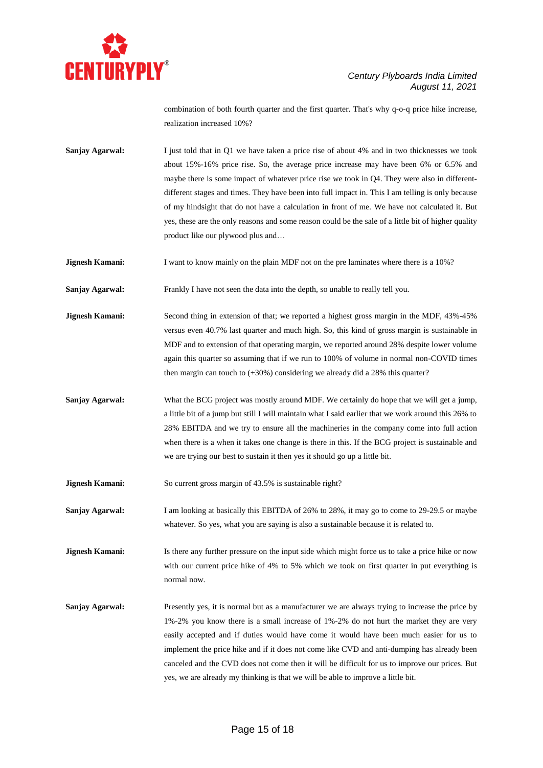

combination of both fourth quarter and the first quarter. That's why q-o-q price hike increase, realization increased 10%?

**Sanjay Agarwal:** I just told that in Q1 we have taken a price rise of about 4% and in two thicknesses we took about 15%-16% price rise. So, the average price increase may have been 6% or 6.5% and maybe there is some impact of whatever price rise we took in Q4. They were also in differentdifferent stages and times. They have been into full impact in. This I am telling is only because of my hindsight that do not have a calculation in front of me. We have not calculated it. But yes, these are the only reasons and some reason could be the sale of a little bit of higher quality product like our plywood plus and…

**Jignesh Kamani:** I want to know mainly on the plain MDF not on the pre laminates where there is a 10%?

**Sanjay Agarwal:** Frankly I have not seen the data into the depth, so unable to really tell you.

**Jignesh Kamani:** Second thing in extension of that; we reported a highest gross margin in the MDF, 43%-45% versus even 40.7% last quarter and much high. So, this kind of gross margin is sustainable in MDF and to extension of that operating margin, we reported around 28% despite lower volume again this quarter so assuming that if we run to 100% of volume in normal non-COVID times then margin can touch to (+30%) considering we already did a 28% this quarter?

**Sanjay Agarwal:** What the BCG project was mostly around MDF. We certainly do hope that we will get a jump, a little bit of a jump but still I will maintain what I said earlier that we work around this 26% to 28% EBITDA and we try to ensure all the machineries in the company come into full action when there is a when it takes one change is there in this. If the BCG project is sustainable and we are trying our best to sustain it then yes it should go up a little bit.

**Jignesh Kamani:** So current gross margin of 43.5% is sustainable right?

**Sanjay Agarwal:** I am looking at basically this EBITDA of 26% to 28%, it may go to come to 29-29.5 or maybe whatever. So yes, what you are saying is also a sustainable because it is related to.

**Jignesh Kamani:** Is there any further pressure on the input side which might force us to take a price hike or now with our current price hike of 4% to 5% which we took on first quarter in put everything is normal now.

**Sanjay Agarwal:** Presently yes, it is normal but as a manufacturer we are always trying to increase the price by 1%-2% you know there is a small increase of 1%-2% do not hurt the market they are very easily accepted and if duties would have come it would have been much easier for us to implement the price hike and if it does not come like CVD and anti-dumping has already been canceled and the CVD does not come then it will be difficult for us to improve our prices. But yes, we are already my thinking is that we will be able to improve a little bit.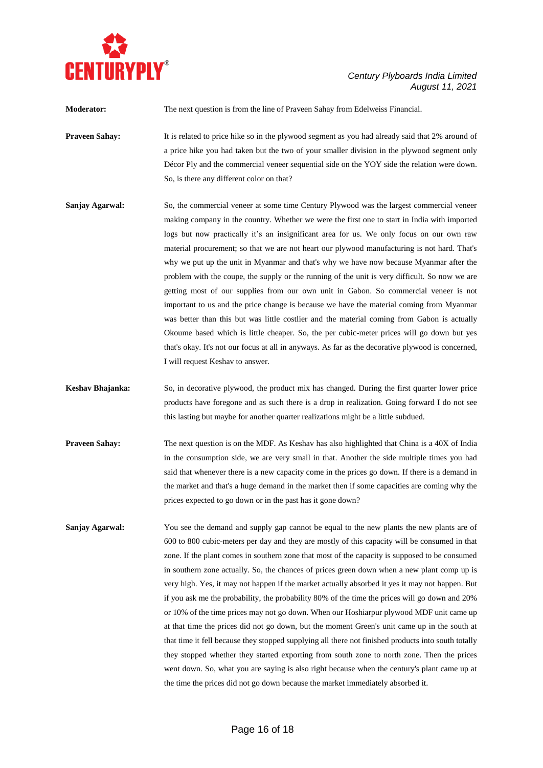

| <b>Moderator:</b>     | The next question is from the line of Praveen Sahay from Edelweiss Financial.                                                                                                                                                                                                                                                                                                                                                                                                                                                                                                                                                                                                                                                                                                                                                                                                                                                                                                                                                                                                                             |
|-----------------------|-----------------------------------------------------------------------------------------------------------------------------------------------------------------------------------------------------------------------------------------------------------------------------------------------------------------------------------------------------------------------------------------------------------------------------------------------------------------------------------------------------------------------------------------------------------------------------------------------------------------------------------------------------------------------------------------------------------------------------------------------------------------------------------------------------------------------------------------------------------------------------------------------------------------------------------------------------------------------------------------------------------------------------------------------------------------------------------------------------------|
| <b>Praveen Sahay:</b> | It is related to price hike so in the plywood segment as you had already said that 2% around of<br>a price hike you had taken but the two of your smaller division in the plywood segment only<br>Décor Ply and the commercial veneer sequential side on the YOY side the relation were down.<br>So, is there any different color on that?                                                                                                                                                                                                                                                                                                                                                                                                                                                                                                                                                                                                                                                                                                                                                                |
| Sanjay Agarwal:       | So, the commercial veneer at some time Century Plywood was the largest commercial veneer<br>making company in the country. Whether we were the first one to start in India with imported<br>logs but now practically it's an insignificant area for us. We only focus on our own raw<br>material procurement; so that we are not heart our plywood manufacturing is not hard. That's<br>why we put up the unit in Myanmar and that's why we have now because Myanmar after the<br>problem with the coupe, the supply or the running of the unit is very difficult. So now we are<br>getting most of our supplies from our own unit in Gabon. So commercial veneer is not<br>important to us and the price change is because we have the material coming from Myanmar<br>was better than this but was little costlier and the material coming from Gabon is actually<br>Okoume based which is little cheaper. So, the per cubic-meter prices will go down but yes<br>that's okay. It's not our focus at all in anyways. As far as the decorative plywood is concerned,<br>I will request Keshav to answer. |

- **Keshav Bhajanka:** So, in decorative plywood, the product mix has changed. During the first quarter lower price products have foregone and as such there is a drop in realization. Going forward I do not see this lasting but maybe for another quarter realizations might be a little subdued.
- **Praveen Sahay:** The next question is on the MDF. As Keshav has also highlighted that China is a 40X of India in the consumption side, we are very small in that. Another the side multiple times you had said that whenever there is a new capacity come in the prices go down. If there is a demand in the market and that's a huge demand in the market then if some capacities are coming why the prices expected to go down or in the past has it gone down?
- **Sanjay Agarwal:** You see the demand and supply gap cannot be equal to the new plants the new plants are of 600 to 800 cubic-meters per day and they are mostly of this capacity will be consumed in that zone. If the plant comes in southern zone that most of the capacity is supposed to be consumed in southern zone actually. So, the chances of prices green down when a new plant comp up is very high. Yes, it may not happen if the market actually absorbed it yes it may not happen. But if you ask me the probability, the probability 80% of the time the prices will go down and 20% or 10% of the time prices may not go down. When our Hoshiarpur plywood MDF unit came up at that time the prices did not go down, but the moment Green's unit came up in the south at that time it fell because they stopped supplying all there not finished products into south totally they stopped whether they started exporting from south zone to north zone. Then the prices went down. So, what you are saying is also right because when the century's plant came up at the time the prices did not go down because the market immediately absorbed it.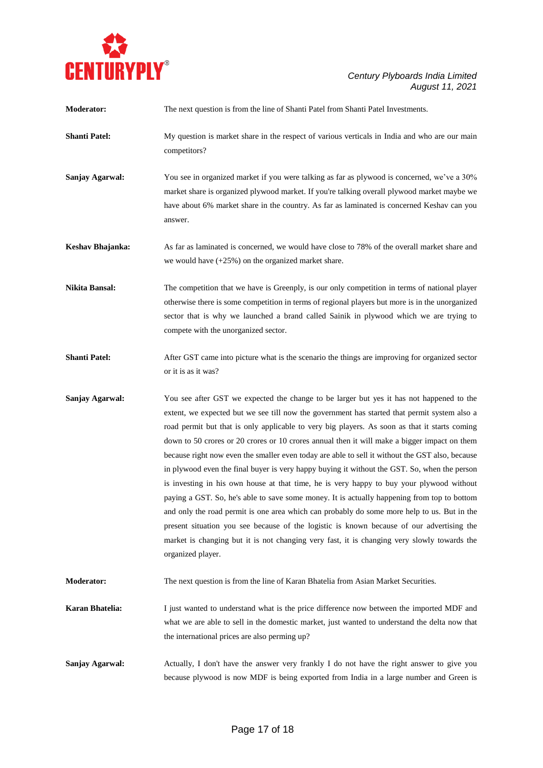

| <b>Moderator:</b>     | The next question is from the line of Shanti Patel from Shanti Patel Investments.                                                                                                                                                                                                                                                                                                                                                                                                                                                                                                                                                                                                                                                                                                                                                                                                                                                                                                                                                                                                                       |
|-----------------------|---------------------------------------------------------------------------------------------------------------------------------------------------------------------------------------------------------------------------------------------------------------------------------------------------------------------------------------------------------------------------------------------------------------------------------------------------------------------------------------------------------------------------------------------------------------------------------------------------------------------------------------------------------------------------------------------------------------------------------------------------------------------------------------------------------------------------------------------------------------------------------------------------------------------------------------------------------------------------------------------------------------------------------------------------------------------------------------------------------|
| <b>Shanti Patel:</b>  | My question is market share in the respect of various verticals in India and who are our main<br>competitors?                                                                                                                                                                                                                                                                                                                                                                                                                                                                                                                                                                                                                                                                                                                                                                                                                                                                                                                                                                                           |
| Sanjay Agarwal:       | You see in organized market if you were talking as far as plywood is concerned, we've a 30%<br>market share is organized plywood market. If you're talking overall plywood market maybe we<br>have about 6% market share in the country. As far as laminated is concerned Keshav can you<br>answer.                                                                                                                                                                                                                                                                                                                                                                                                                                                                                                                                                                                                                                                                                                                                                                                                     |
| Keshav Bhajanka:      | As far as laminated is concerned, we would have close to 78% of the overall market share and<br>we would have $(+25%)$ on the organized market share.                                                                                                                                                                                                                                                                                                                                                                                                                                                                                                                                                                                                                                                                                                                                                                                                                                                                                                                                                   |
| <b>Nikita Bansal:</b> | The competition that we have is Greenply, is our only competition in terms of national player<br>otherwise there is some competition in terms of regional players but more is in the unorganized<br>sector that is why we launched a brand called Sainik in plywood which we are trying to<br>compete with the unorganized sector.                                                                                                                                                                                                                                                                                                                                                                                                                                                                                                                                                                                                                                                                                                                                                                      |
| <b>Shanti Patel:</b>  | After GST came into picture what is the scenario the things are improving for organized sector<br>or it is as it was?                                                                                                                                                                                                                                                                                                                                                                                                                                                                                                                                                                                                                                                                                                                                                                                                                                                                                                                                                                                   |
| Sanjay Agarwal:       | You see after GST we expected the change to be larger but yes it has not happened to the<br>extent, we expected but we see till now the government has started that permit system also a<br>road permit but that is only applicable to very big players. As soon as that it starts coming<br>down to 50 crores or 20 crores or 10 crores annual then it will make a bigger impact on them<br>because right now even the smaller even today are able to sell it without the GST also, because<br>in plywood even the final buyer is very happy buying it without the GST. So, when the person<br>is investing in his own house at that time, he is very happy to buy your plywood without<br>paying a GST. So, he's able to save some money. It is actually happening from top to bottom<br>and only the road permit is one area which can probably do some more help to us. But in the<br>present situation you see because of the logistic is known because of our advertising the<br>market is changing but it is not changing very fast, it is changing very slowly towards the<br>organized player. |
| <b>Moderator:</b>     | The next question is from the line of Karan Bhatelia from Asian Market Securities.                                                                                                                                                                                                                                                                                                                                                                                                                                                                                                                                                                                                                                                                                                                                                                                                                                                                                                                                                                                                                      |
| Karan Bhatelia:       | I just wanted to understand what is the price difference now between the imported MDF and<br>what we are able to sell in the domestic market, just wanted to understand the delta now that<br>the international prices are also perming up?                                                                                                                                                                                                                                                                                                                                                                                                                                                                                                                                                                                                                                                                                                                                                                                                                                                             |
| Sanjay Agarwal:       | Actually, I don't have the answer very frankly I do not have the right answer to give you<br>because plywood is now MDF is being exported from India in a large number and Green is                                                                                                                                                                                                                                                                                                                                                                                                                                                                                                                                                                                                                                                                                                                                                                                                                                                                                                                     |